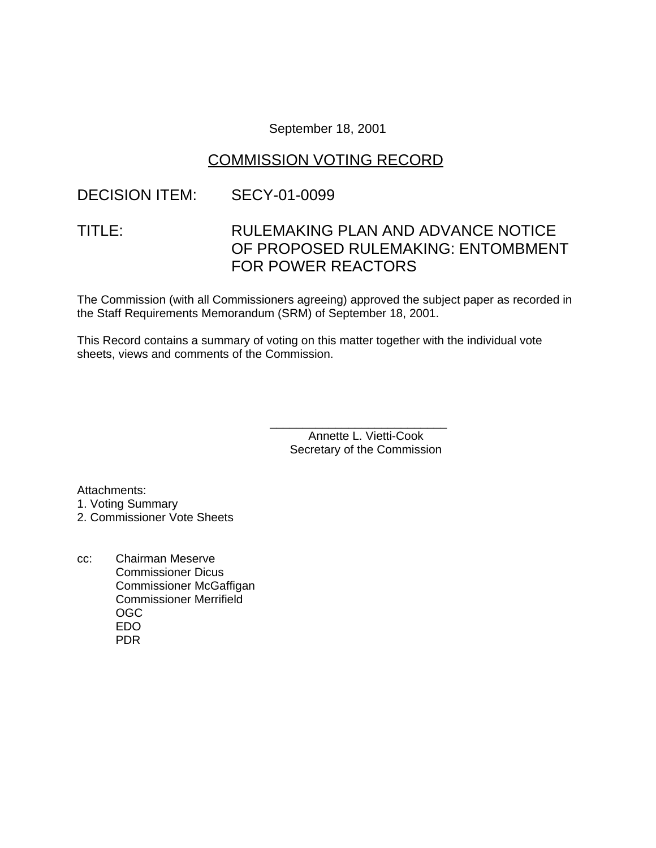### September 18, 2001

## COMMISSION VOTING RECORD

### DECISION ITEM: SECY-01-0099

# TITLE: RULEMAKING PLAN AND ADVANCE NOTICE OF PROPOSED RULEMAKING: ENTOMBMENT FOR POWER REACTORS

The Commission (with all Commissioners agreeing) approved the subject paper as recorded in the Staff Requirements Memorandum (SRM) of September 18, 2001.

This Record contains a summary of voting on this matter together with the individual vote sheets, views and comments of the Commission.

> Annette L. Vietti-Cook Secretary of the Commission

\_\_\_\_\_\_\_\_\_\_\_\_\_\_\_\_\_\_\_\_\_\_\_\_\_\_\_

Attachments:

1. Voting Summary

2. Commissioner Vote Sheets

cc: Chairman Meserve Commissioner Dicus Commissioner McGaffigan Commissioner Merrifield OGC EDO PDR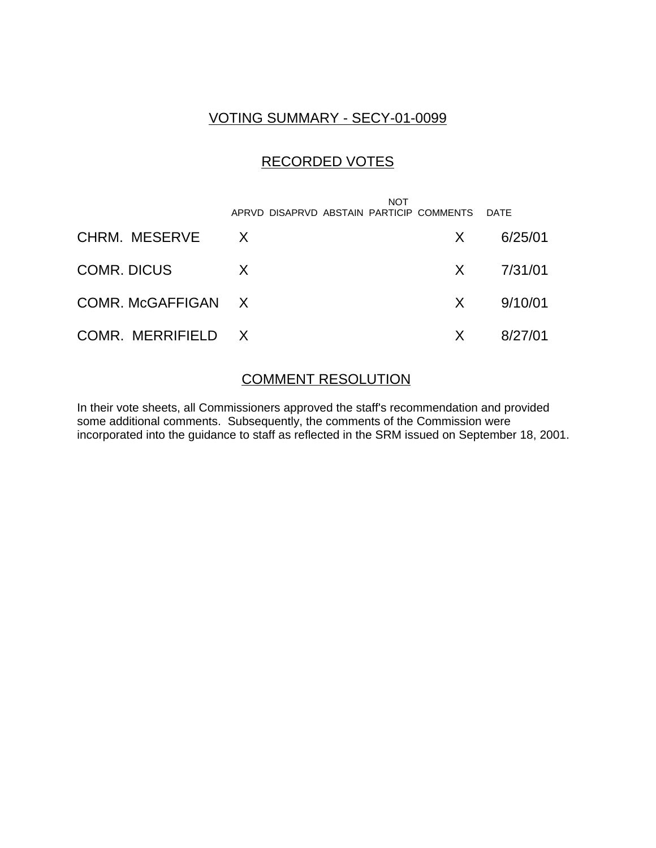### VOTING SUMMARY - SECY-01-0099

## RECORDED VOTES

|                    | NOT<br>APRVD DISAPRVD ABSTAIN PARTICIP COMMENTS DATE |              |               |
|--------------------|------------------------------------------------------|--------------|---------------|
| CHRM. MESERVE      | $\mathsf{X}$                                         | X —          | 6/25/01       |
| <b>COMR. DICUS</b> | X                                                    |              | $X = 7/31/01$ |
| COMR. McGAFFIGAN X |                                                      | X —          | 9/10/01       |
| COMR. MERRIFIELD X |                                                      | $\mathsf{X}$ | 8/27/01       |

## COMMENT RESOLUTION

In their vote sheets, all Commissioners approved the staff's recommendation and provided some additional comments. Subsequently, the comments of the Commission were incorporated into the guidance to staff as reflected in the SRM issued on September 18, 2001.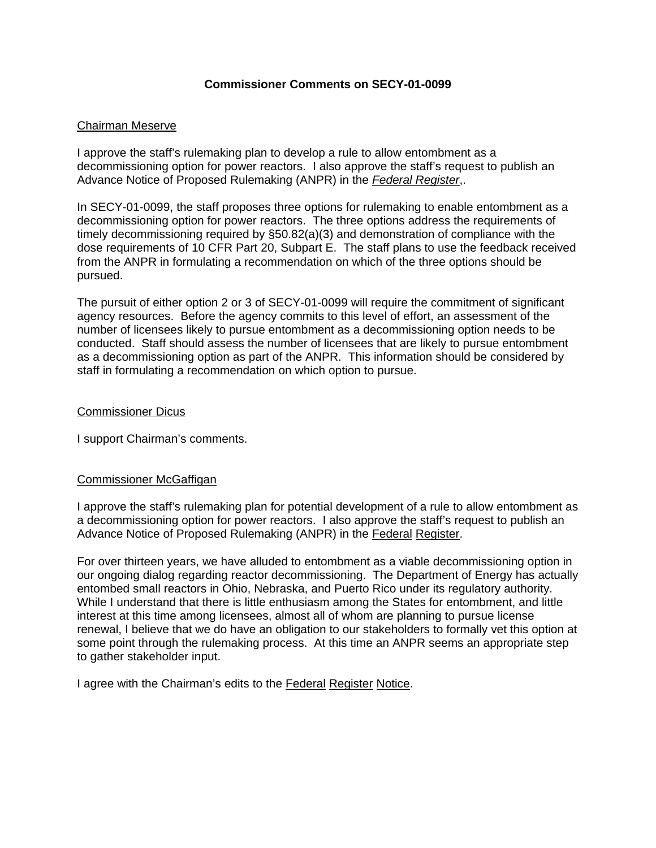### **Commissioner Comments on SECY-01-0099**

### Chairman Meserve

I approve the staff's rulemaking plan to develop a rule to allow entombment as a decommissioning option for power reactors. I also approve the staff's request to publish an Advance Notice of Proposed Rulemaking (ANPR) in the *Federal Register*,.

In SECY-01-0099, the staff proposes three options for rulemaking to enable entombment as a decommissioning option for power reactors. The three options address the requirements of timely decommissioning required by §50.82(a)(3) and demonstration of compliance with the dose requirements of 10 CFR Part 20, Subpart E. The staff plans to use the feedback received from the ANPR in formulating a recommendation on which of the three options should be pursued.

The pursuit of either option 2 or 3 of SECY-01-0099 will require the commitment of significant agency resources. Before the agency commits to this level of effort, an assessment of the number of licensees likely to pursue entombment as a decommissioning option needs to be conducted. Staff should assess the number of licensees that are likely to pursue entombment as a decommissioning option as part of the ANPR. This information should be considered by staff in formulating a recommendation on which option to pursue.

#### Commissioner Dicus

I support Chairman's comments.

#### Commissioner McGaffigan

I approve the staff's rulemaking plan for potential development of a rule to allow entombment as a decommissioning option for power reactors. I also approve the staff's request to publish an Advance Notice of Proposed Rulemaking (ANPR) in the Federal Register.

For over thirteen years, we have alluded to entombment as a viable decommissioning option in our ongoing dialog regarding reactor decommissioning. The Department of Energy has actually entombed small reactors in Ohio, Nebraska, and Puerto Rico under its regulatory authority. While I understand that there is little enthusiasm among the States for entombment, and little interest at this time among licensees, almost all of whom are planning to pursue license renewal, I believe that we do have an obligation to our stakeholders to formally vet this option at some point through the rulemaking process. At this time an ANPR seems an appropriate step to gather stakeholder input.

I agree with the Chairman's edits to the Federal Register Notice.